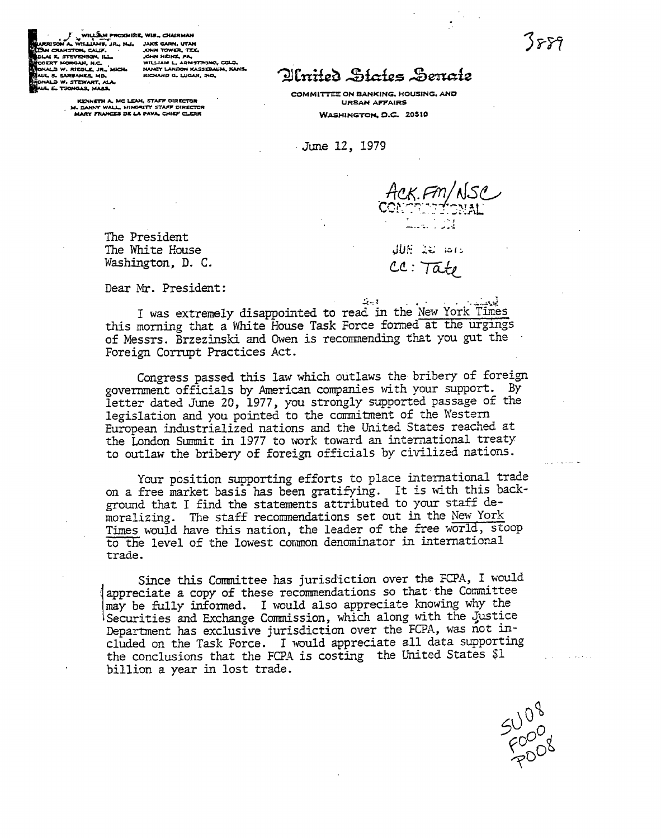3889

**SU08**<br>FOOD8

V WILLING PRODUKE, WIS., CHARMAN<br>ANA, WILLING R., N., JAKE GARN, UTAN<br>ANSTOR, CALP, VI., JOHN TOWER, TECH NA A SIEFERSON, ILLE<br>NALD W. RIEGLE, JR., MICH.<br>WL S. SARBANES, MD. JOHN FALING FRE<br>WILLIAM L. ARMSTRONG, COLO.<br>NANCY LANDON KASSERAUM, KANS. RICHARD G. LUGAR, IND.

KENNETH A, MC LEAN, STAFF DIRECTOR<br>M. DANNY WALL, MINORITY STAFF DIRECTOR<br>MARY FRANCES DE LA PAVA, CHIEF CLERK

NORISON AL WILLIAME, JA<br>SUN CRANSTON, CALIF.<br>HAI E. STEVENSON, ILL.

**D.W. STEWART, ALA.** TSONGAS, MASS

## Olmited States Senate

COMMITTEE ON BANKING, HOUSING, AND **URBAN AFFAIRS** WASHINGTON, D.C. 20510

June 12, 1979

ACK.FM/NSC

The President The White House Washington, D. C.

**CONSTRUCTION**  $cc: 7a t$ 

Dear Mr. President:

 $\mathcal{L}_{\text{max}}(t)$ I was extremely disappointed to read in the New York Times this morning that a White House Task Force formed at the urgings of Messrs. Brzezinski and Owen is recommending that you gut the Foreign Corrupt Practices Act.

Congress passed this law which outlaws the bribery of foreign government officials by American companies with your support. By letter dated June 20, 1977, you strongly supported passage of the legislation and you pointed to the commitment of the Western European industrialized nations and the United States reached at the London Summit in 1977 to work toward an international treaty to outlaw the bribery of foreign officials by civilized nations.

Your position supporting efforts to place international trade on a free market basis has been gratifying. It is with this background that I find the statements attributed to your staff demoralizing. The staff recommendations set out in the New York Times would have this nation, the leader of the free world, stoop to the level of the lowest common denominator in international trade.

Since this Committee has jurisdiction over the FCPA, I would appreciate a copy of these recommendations so that the Committee may be fully informed. I would also appreciate knowing why the Securities and Exchange Commission, which along with the Justice Department has exclusive jurisdiction over the FCPA, was not included on the Task Force. I would appreciate all data supporting the conclusions that the FCPA is costing the United States \$1 billion a year in lost trade.